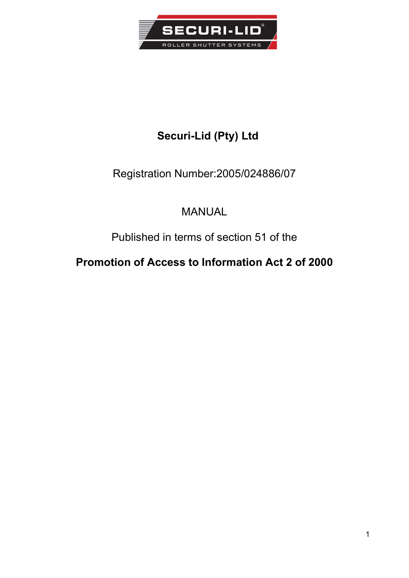

# Securi-Lid (Pty) Ltd

## Registration Number:2005/024886/07

# MANUAL

# Published in terms of section 51 of the

# Promotion of Access to Information Act 2 of 2000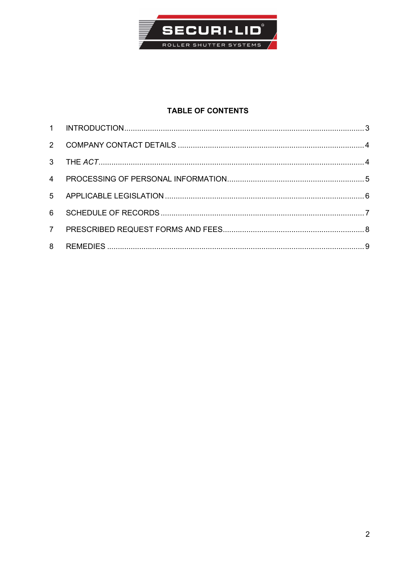

## **TABLE OF CONTENTS**

| $\overline{4}$ |  |
|----------------|--|
|                |  |
|                |  |
|                |  |
| 8              |  |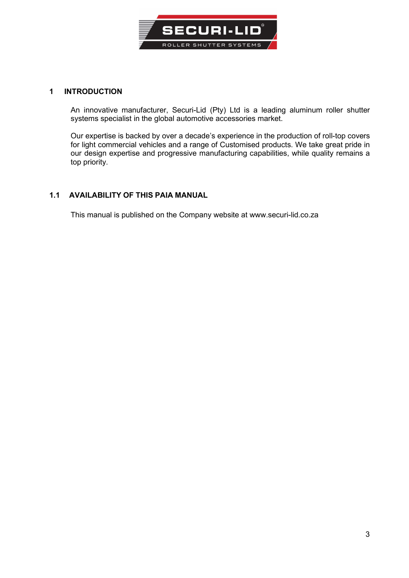

#### 1 INTRODUCTION

An innovative manufacturer, Securi-Lid (Pty) Ltd is a leading aluminum roller shutter systems specialist in the global automotive accessories market.

Our expertise is backed by over a decade's experience in the production of roll-top covers for light commercial vehicles and a range of Customised products. We take great pride in our design expertise and progressive manufacturing capabilities, while quality remains a top priority.

#### 1.1 AVAILABILITY OF THIS PAIA MANUAL

This manual is published on the Company website at www.securi-lid.co.za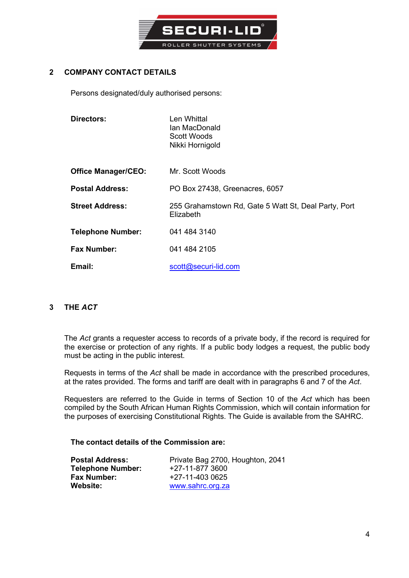

### 2 COMPANY CONTACT DETAILS

Persons designated/duly authorised persons:

| Directors:                 | Len Whittal<br>Ian MacDonald<br><b>Scott Woods</b><br>Nikki Hornigold |
|----------------------------|-----------------------------------------------------------------------|
| <b>Office Manager/CEO:</b> | Mr. Scott Woods                                                       |
| <b>Postal Address:</b>     | PO Box 27438, Greenacres, 6057                                        |
| <b>Street Address:</b>     | 255 Grahamstown Rd, Gate 5 Watt St, Deal Party, Port<br>Elizabeth     |
| <b>Telephone Number:</b>   | 041 484 3140                                                          |
| <b>Fax Number:</b>         | 041 484 2105                                                          |
| Email:                     | scott@securi-lid.com                                                  |

#### 3 THE ACT

The Act grants a requester access to records of a private body, if the record is required for the exercise or protection of any rights. If a public body lodges a request, the public body must be acting in the public interest.

Requests in terms of the Act shall be made in accordance with the prescribed procedures, at the rates provided. The forms and tariff are dealt with in paragraphs 6 and 7 of the Act.

Requesters are referred to the Guide in terms of Section 10 of the Act which has been compiled by the South African Human Rights Commission, which will contain information for the purposes of exercising Constitutional Rights. The Guide is available from the SAHRC.

#### The contact details of the Commission are:

| <b>Postal Address:</b>   | Private Bag 2700, Houghton, 2041 |  |
|--------------------------|----------------------------------|--|
| <b>Telephone Number:</b> | +27-11-877 3600                  |  |
| <b>Fax Number:</b>       | +27-11-403 0625                  |  |
| <b>Website:</b>          | www.sahrc.org.za                 |  |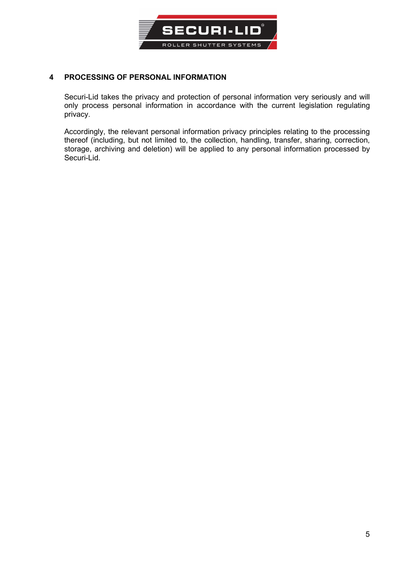

#### 4 PROCESSING OF PERSONAL INFORMATION

Securi-Lid takes the privacy and protection of personal information very seriously and will only process personal information in accordance with the current legislation regulating privacy.

Accordingly, the relevant personal information privacy principles relating to the processing thereof (including, but not limited to, the collection, handling, transfer, sharing, correction, storage, archiving and deletion) will be applied to any personal information processed by Securi-Lid.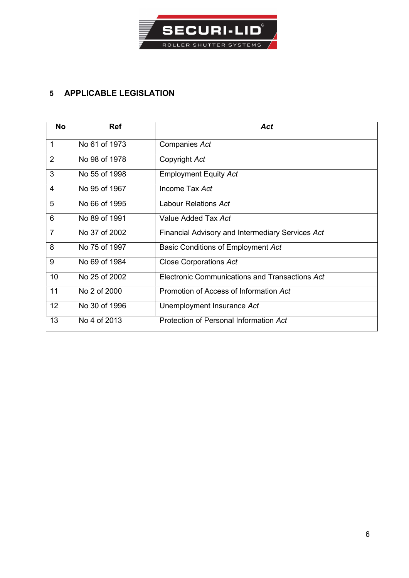

## 5 APPLICABLE LEGISLATION

| <b>No</b>       | <b>Ref</b>    | Act                                              |  |
|-----------------|---------------|--------------------------------------------------|--|
| $\mathbf 1$     | No 61 of 1973 | Companies Act                                    |  |
| $\overline{2}$  | No 98 of 1978 | Copyright Act                                    |  |
| 3               | No 55 of 1998 | <b>Employment Equity Act</b>                     |  |
| $\overline{4}$  | No 95 of 1967 | Income Tax Act                                   |  |
| 5               | No 66 of 1995 | Labour Relations Act                             |  |
| $6\phantom{1}6$ | No 89 of 1991 | Value Added Tax Act                              |  |
| $\overline{7}$  | No 37 of 2002 | Financial Advisory and Intermediary Services Act |  |
| 8               | No 75 of 1997 | Basic Conditions of Employment Act               |  |
| 9               | No 69 of 1984 | <b>Close Corporations Act</b>                    |  |
| 10              | No 25 of 2002 | Electronic Communications and Transactions Act   |  |
| 11              | No 2 of 2000  | Promotion of Access of Information Act           |  |
| 12              | No 30 of 1996 | Unemployment Insurance Act                       |  |
| 13              | No 4 of 2013  | Protection of Personal Information Act           |  |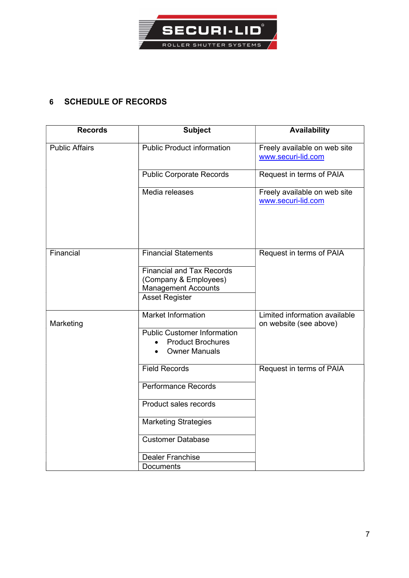

## 6 SCHEDULE OF RECORDS

| <b>Records</b>        | <b>Subject</b>                                                                                                   | <b>Availability</b>                                     |
|-----------------------|------------------------------------------------------------------------------------------------------------------|---------------------------------------------------------|
| <b>Public Affairs</b> | <b>Public Product information</b>                                                                                | Freely available on web site<br>www.securi-lid.com      |
|                       | <b>Public Corporate Records</b>                                                                                  | Request in terms of PAIA                                |
|                       | Media releases                                                                                                   | Freely available on web site<br>www.securi-lid.com      |
| Financial             | <b>Financial Statements</b>                                                                                      | Request in terms of PAIA                                |
|                       | <b>Financial and Tax Records</b><br>(Company & Employees)<br><b>Management Accounts</b><br><b>Asset Register</b> |                                                         |
| Marketing             | <b>Market Information</b>                                                                                        | Limited information available<br>on website (see above) |
|                       | <b>Public Customer Information</b><br><b>Product Brochures</b><br><b>Owner Manuals</b>                           |                                                         |
|                       | <b>Field Records</b>                                                                                             | Request in terms of PAIA                                |
|                       | <b>Performance Records</b>                                                                                       |                                                         |
|                       | Product sales records                                                                                            |                                                         |
|                       | <b>Marketing Strategies</b>                                                                                      |                                                         |
|                       | <b>Customer Database</b>                                                                                         |                                                         |
|                       | <b>Dealer Franchise</b>                                                                                          |                                                         |
|                       | Documents                                                                                                        |                                                         |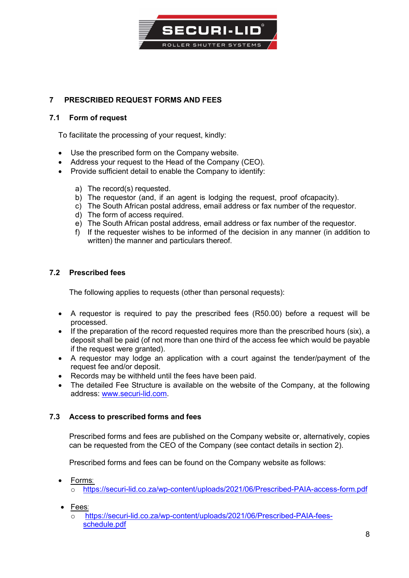

### 7 PRESCRIBED REQUEST FORMS AND FEES

#### 7.1 Form of request

To facilitate the processing of your request, kindly:

- Use the prescribed form on the Company website.
- Address your request to the Head of the Company (CEO).
- Provide sufficient detail to enable the Company to identify:
	- a) The record(s) requested.
	- b) The requestor (and, if an agent is lodging the request, proof of capacity).
	- c) The South African postal address, email address or fax number of the requestor.
	- d) The form of access required.
	- e) The South African postal address, email address or fax number of the requestor.
	- f) If the requester wishes to be informed of the decision in any manner (in addition to written) the manner and particulars thereof.

### 7.2 Prescribed fees

The following applies to requests (other than personal requests):

- A requestor is required to pay the prescribed fees (R50.00) before a request will be processed.
- If the preparation of the record requested requires more than the prescribed hours (six), a deposit shall be paid (of not more than one third of the access fee which would be payable if the request were granted).
- A requestor may lodge an application with a court against the tender/payment of the request fee and/or deposit.
- Records may be withheld until the fees have been paid.
- The detailed Fee Structure is available on the website of the Company, at the following address: www.securi-lid.com.

### 7.3 Access to prescribed forms and fees

Prescribed forms and fees are published on the Company website or, alternatively, copies can be requested from the CEO of the Company (see contact details in section 2).

Prescribed forms and fees can be found on the Company website as follows:

- Forms:
	- https://securi-lid.co.za/wp-content/uploads/2021/06/Prescribed-PAIA-access-form.pdf
- Fees:
	- https://securi-lid.co.za/wp-content/uploads/2021/06/Prescribed-PAIA-feesschedule.pdf